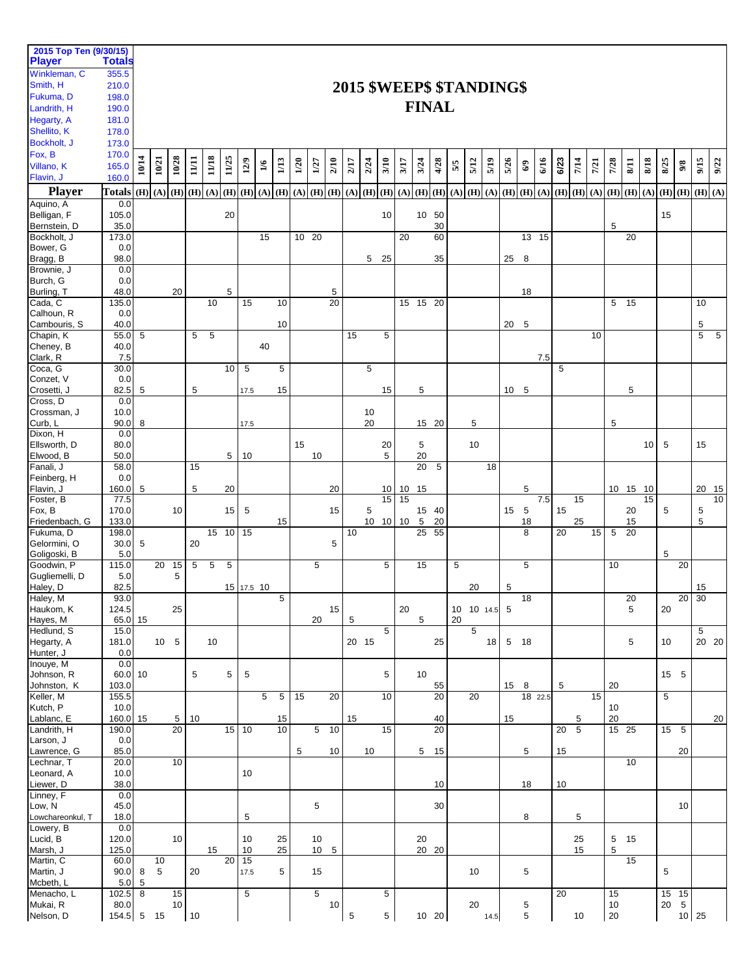| 2015 Top Ten (9/30/15)<br><b>Player</b> | <b>Totals</b>  |       |                  |                 |                   |       |                 |            |                |      |         |                   |      |      |                   |          |      |                  |                 |                           |                |      |                 |                                 |         |      |             |      |                 |          |      |                                 |                   |                         |       |
|-----------------------------------------|----------------|-------|------------------|-----------------|-------------------|-------|-----------------|------------|----------------|------|---------|-------------------|------|------|-------------------|----------|------|------------------|-----------------|---------------------------|----------------|------|-----------------|---------------------------------|---------|------|-------------|------|-----------------|----------|------|---------------------------------|-------------------|-------------------------|-------|
| Winkleman, C                            | 355.5          |       |                  |                 |                   |       |                 |            |                |      |         |                   |      |      |                   |          |      |                  |                 |                           |                |      |                 |                                 |         |      |             |      |                 |          |      |                                 |                   |                         |       |
| Smith, H                                | 210.0          |       |                  |                 |                   |       |                 |            |                |      |         |                   |      |      |                   |          |      |                  |                 | 2015 \$WEEP\$ \$TANDING\$ |                |      |                 |                                 |         |      |             |      |                 |          |      |                                 |                   |                         |       |
| Fukuma, D<br>Landrith, H                | 198.0          |       |                  |                 |                   |       |                 |            |                |      |         |                   |      |      |                   |          |      |                  | <b>FINAL</b>    |                           |                |      |                 |                                 |         |      |             |      |                 |          |      |                                 |                   |                         |       |
| Hegarty, A                              | 190.0<br>181.0 |       |                  |                 |                   |       |                 |            |                |      |         |                   |      |      |                   |          |      |                  |                 |                           |                |      |                 |                                 |         |      |             |      |                 |          |      |                                 |                   |                         |       |
| Shellito, K                             | 178.0          |       |                  |                 |                   |       |                 |            |                |      |         |                   |      |      |                   |          |      |                  |                 |                           |                |      |                 |                                 |         |      |             |      |                 |          |      |                                 |                   |                         |       |
| Bockholt, J                             | 173.0          |       |                  |                 |                   |       |                 |            |                |      |         |                   |      |      |                   |          |      |                  |                 |                           |                |      |                 |                                 |         |      |             |      |                 |          |      |                                 |                   |                         |       |
| Fox, B                                  | 170.0          |       |                  | 10/28           |                   | 11/18 | 11/25           | 12/9       | $1/6$          |      | 1/20    |                   | 2/10 | 2/17 | 2/24              | 3/10     |      | 3/24             | 4/28            | 5/5                       |                | 5/19 | 5/26            |                                 | 6/16    | 6/23 | 7/14        |      | 7/28            | $8/11$   | 8/18 | 8/25                            |                   | 9/15                    |       |
| Villano, K<br>Flavin, J                 | 165.0<br>160.0 | 10/14 | 10/21            |                 | 11/11             |       |                 |            |                | 1/13 |         | 1/27              |      |      |                   |          | 3/17 |                  |                 |                           | 5/12           |      |                 | $\mathbb{S}^3$                  |         |      |             | 7/21 |                 |          |      |                                 | $9/8$             |                         | 9/22  |
| <b>Player</b>                           | Totals         | (H)   |                  |                 | $(A)$ $(H)$ $(H)$ | (A)   | (H)             | (H)        | (A)            | (H)  |         | $(A)$ $(H)$ $(H)$ |      |      | $(A)$ $(H)$ $(H)$ |          | (A)  |                  | $(H)$ $(H)$     | $(A)$ $(H)$ $(A)$         |                |      |                 | $(H)$ $(H)$ $(A)$               |         |      | $(H)$ $(H)$ | (A)  | $(H)$ $(H)$     |          | (A)  |                                 |                   | $(H)$ $(H)$ $(H)$ $(A)$ |       |
| Aquino, A                               | 0.0            |       |                  |                 |                   |       |                 |            |                |      |         |                   |      |      |                   |          |      |                  |                 |                           |                |      |                 |                                 |         |      |             |      |                 |          |      |                                 |                   |                         |       |
| Belligan, F                             | 105.0          |       |                  |                 |                   |       | 20              |            |                |      |         |                   |      |      |                   | 10       |      |                  | 10 50           |                           |                |      |                 |                                 |         |      |             |      |                 |          |      | 15                              |                   |                         |       |
| Bernstein, D<br>Bockholt, J             | 35.0<br>173.0  |       |                  |                 |                   |       |                 |            | 15             |      | $10$ 20 |                   |      |      |                   |          | 20   |                  | 30<br>60        |                           |                |      |                 | $\overline{13}$ $\overline{15}$ |         |      |             |      | 5               | 20       |      |                                 |                   |                         |       |
| Bower, G                                | 0.0            |       |                  |                 |                   |       |                 |            |                |      |         |                   |      |      |                   |          |      |                  |                 |                           |                |      |                 |                                 |         |      |             |      |                 |          |      |                                 |                   |                         |       |
| Bragg, B                                | 98.0           |       |                  |                 |                   |       |                 |            |                |      |         |                   |      |      | 5 <sub>5</sub>    | 25       |      |                  | 35              |                           |                |      | 25              | 8                               |         |      |             |      |                 |          |      |                                 |                   |                         |       |
| Brownie, J<br>Burch, G                  | 0.0<br>0.0     |       |                  |                 |                   |       |                 |            |                |      |         |                   |      |      |                   |          |      |                  |                 |                           |                |      |                 |                                 |         |      |             |      |                 |          |      |                                 |                   |                         |       |
| Burling, T                              | 48.0           |       |                  | 20              |                   |       | 5               |            |                |      |         |                   | 5    |      |                   |          |      |                  |                 |                           |                |      |                 | 18                              |         |      |             |      |                 |          |      |                                 |                   |                         |       |
| Cada, C                                 | 135.0          |       |                  |                 |                   | 10    |                 | 15         |                | 10   |         |                   | 20   |      |                   |          |      |                  | 15 15 20        |                           |                |      |                 |                                 |         |      |             |      | 5 <sub>15</sub> |          |      |                                 |                   | 10                      |       |
| Calhoun, R<br>Cambouris, S              | 0.0<br>40.0    |       |                  |                 |                   |       |                 |            |                | 10   |         |                   |      |      |                   |          |      |                  |                 |                           |                |      | 20              | 5                               |         |      |             |      |                 |          |      |                                 |                   | 5                       |       |
| Chapin, K                               | 55.0           | 5     |                  |                 | 5                 | 5     |                 |            |                |      |         |                   |      | 15   |                   | 5        |      |                  |                 |                           |                |      |                 |                                 |         |      |             | 10   |                 |          |      |                                 |                   | 5                       | 5     |
| Cheney, B                               | 40.0           |       |                  |                 |                   |       |                 |            | 40             |      |         |                   |      |      |                   |          |      |                  |                 |                           |                |      |                 |                                 |         |      |             |      |                 |          |      |                                 |                   |                         |       |
| Clark, R<br>Coca, G                     | 7.5<br>30.0    |       |                  |                 |                   |       | 10              | 5          |                | 5    |         |                   |      |      | 5                 |          |      |                  |                 |                           |                |      |                 |                                 | 7.5     | 5    |             |      |                 |          |      |                                 |                   |                         |       |
| Conzet, V                               | 0.0            |       |                  |                 |                   |       |                 |            |                |      |         |                   |      |      |                   |          |      |                  |                 |                           |                |      |                 |                                 |         |      |             |      |                 |          |      |                                 |                   |                         |       |
| Crosetti, J                             | 82.5           | 5     |                  |                 | 5                 |       |                 | 17.5       |                | 15   |         |                   |      |      |                   | 15       |      | 5                |                 |                           |                |      | 10 <sup>°</sup> | 5                               |         |      |             |      |                 | 5        |      |                                 |                   |                         |       |
| Cross, D<br>Crossman, J                 | 0.0<br>10.0    |       |                  |                 |                   |       |                 |            |                |      |         |                   |      |      | 10                |          |      |                  |                 |                           |                |      |                 |                                 |         |      |             |      |                 |          |      |                                 |                   |                         |       |
| Curb, L                                 | 90.0           | 8     |                  |                 |                   |       |                 | 17.5       |                |      |         |                   |      |      | 20                |          |      |                  | 15 20           |                           | 5              |      |                 |                                 |         |      |             |      | 5               |          |      |                                 |                   |                         |       |
| Dixon, H                                | 0.0            |       |                  |                 |                   |       |                 |            |                |      |         |                   |      |      |                   |          |      |                  |                 |                           |                |      |                 |                                 |         |      |             |      |                 |          |      |                                 |                   |                         |       |
| Ellsworth, D<br>Elwood, B               | 80.0<br>50.0   |       |                  |                 |                   |       | 5               | 10         |                |      | 15      | 10                |      |      |                   | 20<br>5  |      | 5<br>20          |                 |                           | 10             |      |                 |                                 |         |      |             |      |                 |          | 10   | 5                               |                   | 15                      |       |
| Fanali, J                               | 58.0           |       |                  |                 | 15                |       |                 |            |                |      |         |                   |      |      |                   |          |      | 20               | 5               |                           |                | 18   |                 |                                 |         |      |             |      |                 |          |      |                                 |                   |                         |       |
| Feinberg, H                             | 0.0            |       |                  |                 |                   |       |                 |            |                |      |         |                   |      |      |                   |          |      |                  |                 |                           |                |      |                 |                                 |         |      |             |      |                 |          |      |                                 |                   |                         |       |
| Flavin, J<br>Foster, B                  | 160.0<br>77.5  | 5     |                  |                 | 5                 |       | 20              |            |                |      |         |                   | 20   |      |                   | 10<br>15 | 15   | 10 15            |                 |                           |                |      |                 | 5                               | 7.5     |      | 15          |      |                 | 10 15 10 | 15   |                                 |                   | 20 15                   | 10    |
| Fox, B                                  | 170.0          |       |                  | 10              |                   |       | 15              | 5          |                |      |         |                   | 15   |      | 5                 |          |      |                  | 15 40           |                           |                |      | 15              | 5                               |         | 15   |             |      |                 | 20       |      | 5                               |                   | 5                       |       |
| Friedenbach, G<br>Fukuma, D             | 133.0          |       |                  |                 |                   |       | 15 10 15        |            |                | 15   |         |                   |      | 10   |                   | 10 10    | 10   | $\sqrt{5}$<br>25 | 20<br>55        |                           |                |      |                 | 18<br>8                         |         | 20   | 25          | 15   | 5               | 15<br>20 |      |                                 |                   | 5                       |       |
| Gelormini, O                            | 198.0<br>30.0  | 5     |                  |                 | 20                |       |                 |            |                |      |         |                   | 5    |      |                   |          |      |                  |                 |                           |                |      |                 |                                 |         |      |             |      |                 |          |      |                                 |                   |                         |       |
| Goligoski, B                            | 5.0            |       |                  |                 |                   |       |                 |            |                |      |         |                   |      |      |                   |          |      |                  |                 |                           |                |      |                 |                                 |         |      |             |      |                 |          |      | 5                               |                   |                         |       |
| Goodwin, P<br>Gugliemelli, D            | 115.0<br>5.0   |       | 20               | 15<br>5         | 5                 | 5     | 5               |            |                |      |         | 5                 |      |      |                   | 5        |      | 15               |                 | 5                         |                |      |                 | 5                               |         |      |             |      | 10              |          |      |                                 | 20                |                         |       |
| Haley, D                                | 82.5           |       |                  |                 |                   |       |                 | 15 17.5 10 |                |      |         |                   |      |      |                   |          |      |                  |                 |                           | 20             |      | 5               |                                 |         |      |             |      |                 |          |      |                                 |                   | 15                      |       |
| Haley, M                                | 93.0           |       |                  |                 |                   |       |                 |            |                | 5    |         |                   |      |      |                   |          |      |                  |                 |                           |                |      |                 | 18                              |         |      |             |      |                 | 20       |      |                                 | $20\overline{30}$ |                         |       |
| Haukom, K<br>Hayes, M                   | 124.5<br>65.0  | 15    |                  | 25              |                   |       |                 |            |                |      |         | 20                | 15   | 5    |                   |          | 20   | 5                |                 | 10 10 14.5<br>20          |                |      | 5               |                                 |         |      |             |      |                 | 5        |      | 20                              |                   |                         |       |
| Hedlund, S                              | 15.0           |       |                  |                 |                   |       |                 |            |                |      |         |                   |      |      |                   | 5        |      |                  |                 |                           | $\overline{5}$ |      |                 |                                 |         |      |             |      |                 |          |      |                                 |                   | 5                       |       |
| Hegarty, A                              | 181.0          |       | 10 5             |                 |                   | 10    |                 |            |                |      |         |                   |      |      | 20 15             |          |      |                  | 25              |                           |                | 18   |                 | 5 18                            |         |      |             |      |                 | 5        |      | 10                              |                   |                         | 20 20 |
| Hunter, J<br>Inouye, M                  | 0.0<br>0.0     |       |                  |                 |                   |       |                 |            |                |      |         |                   |      |      |                   |          |      |                  |                 |                           |                |      |                 |                                 |         |      |             |      |                 |          |      |                                 |                   |                         |       |
| Johnson, R                              | 60.0           | 10    |                  |                 | 5                 |       | 5               | $\sqrt{5}$ |                |      |         |                   |      |      |                   | 5        |      | 10               |                 |                           |                |      |                 |                                 |         |      |             |      |                 |          |      | 15 5                            |                   |                         |       |
| Johnston, K                             | 103.0          |       |                  |                 |                   |       |                 |            |                |      |         |                   |      |      |                   |          |      |                  | 55              |                           |                |      | 15              | 8                               |         | 5    |             |      | 20              |          |      |                                 |                   |                         |       |
| Keller, M<br>Kutch, P                   | 155.5<br>10.0  |       |                  |                 |                   |       |                 |            | $\overline{5}$ | 5    | 15      |                   | 20   |      |                   | 10       |      |                  | $\overline{20}$ |                           | 20             |      |                 |                                 | 18 22.5 |      |             | 15   | 10              |          |      | 5                               |                   |                         |       |
| Lablanc, E                              | 160.0          | 15    |                  | 5               | 10                |       |                 |            |                | 15   |         |                   |      | 15   |                   |          |      |                  | 40              |                           |                |      | 15              |                                 |         |      | 5           |      | 20              |          |      |                                 |                   |                         | 20    |
| Landrith, H<br>Larson, J                | 190.0<br>0.0   |       |                  | $\overline{20}$ |                   |       | 15              | 10         |                | 10   |         | 5                 | 10   |      |                   | 15       |      |                  | 20              |                           |                |      |                 |                                 |         | 20   | 5           |      | $15$ 25         |          |      | 15 5                            |                   |                         |       |
| Lawrence, G                             | 85.0           |       |                  |                 |                   |       |                 |            |                |      | 5       |                   | 10   |      | 10                |          |      |                  | 5 15            |                           |                |      |                 | 5                               |         | 15   |             |      |                 |          |      |                                 | 20                |                         |       |
| Lechnar, T                              | 20.0           |       |                  | 10              |                   |       |                 |            |                |      |         |                   |      |      |                   |          |      |                  |                 |                           |                |      |                 |                                 |         |      |             |      |                 | 10       |      |                                 |                   |                         |       |
| Leonard, A<br>Liewer, D                 | 10.0<br>38.0   |       |                  |                 |                   |       |                 | 10         |                |      |         |                   |      |      |                   |          |      |                  | 10              |                           |                |      |                 | 18                              |         | 10   |             |      |                 |          |      |                                 |                   |                         |       |
| Linney, F                               | 0.0            |       |                  |                 |                   |       |                 |            |                |      |         |                   |      |      |                   |          |      |                  |                 |                           |                |      |                 |                                 |         |      |             |      |                 |          |      |                                 |                   |                         |       |
| Low, N                                  | 45.0           |       |                  |                 |                   |       |                 |            |                |      |         | 5                 |      |      |                   |          |      |                  | 30              |                           |                |      |                 |                                 |         |      |             |      |                 |          |      |                                 | 10                |                         |       |
| Lowchareonkul, T<br>Lowery, B           | 18.0<br>0.0    |       |                  |                 |                   |       |                 | 5          |                |      |         |                   |      |      |                   |          |      |                  |                 |                           |                |      |                 | 8                               |         |      | 5           |      |                 |          |      |                                 |                   |                         |       |
| Lucid, B                                | 120.0          |       |                  | 10              |                   |       |                 | 10         |                | 25   |         | 10                |      |      |                   |          |      | 20               |                 |                           |                |      |                 |                                 |         |      | 25          |      | 5               | 15       |      |                                 |                   |                         |       |
| Marsh, J                                | 125.0          |       |                  |                 |                   | 15    |                 | 10         |                | 25   |         | $10\quad 5$       |      |      |                   |          |      |                  | 20 20           |                           |                |      |                 |                                 |         |      | 15          |      | $\,$ 5 $\,$     |          |      |                                 |                   |                         |       |
| Martin, C<br>Martin, J                  | 60.0<br>90.0   | 8     | 10<br>$\sqrt{5}$ |                 | 20                |       | $\overline{20}$ | 15<br>17.5 |                | 5    |         | 15                |      |      |                   |          |      |                  |                 |                           | 10             |      |                 | 5                               |         |      |             |      |                 | 15       |      | 5                               |                   |                         |       |
| Mcbeth, L                               | 5.0            | 5     |                  |                 |                   |       |                 |            |                |      |         |                   |      |      |                   |          |      |                  |                 |                           |                |      |                 |                                 |         |      |             |      |                 |          |      |                                 |                   |                         |       |
| Menacho, L<br>Mukai, R                  | 102.5          | 8     |                  | 15<br>10        |                   |       |                 | 5          |                |      |         | 5                 | 10   |      |                   | 5        |      |                  |                 |                           | 20             |      |                 |                                 |         | 20   |             |      | 15              |          |      | $\overline{15}$ $\overline{15}$ | 5                 |                         |       |
| Nelson, D                               | 80.0<br>154.5  | 5     | 15               |                 | 10                |       |                 |            |                |      |         |                   |      | 5    |                   | 5        |      |                  | 10 20           |                           |                | 14.5 |                 | 5<br>5                          |         |      | 10          |      | 10<br>20        |          |      | 20                              | 10 25             |                         |       |